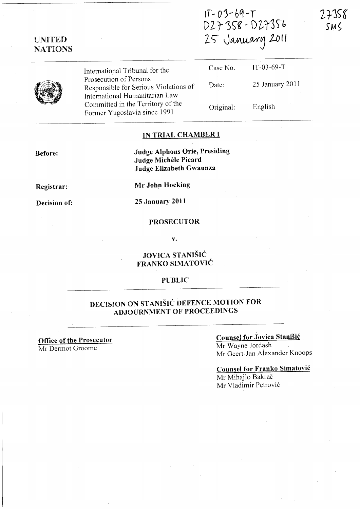IT- *0')- bq-T*  D27358 - D27356 25 January 2011



UNITED NATIONS

> International Tribunal for the Prosecution of Persons Responsible for Serious Violations of International Humanitarian Law Committed in the Territory of the Former Yugoslavia since 1991

|   | Case No.  | $IT-03-69-T$    |
|---|-----------|-----------------|
| f | Date:     | 25 January 2011 |
|   | Original: | ٠<br>English    |

## IN TRIAL CHAMBER I

Before:

Judge Alphons Orie, Presiding Judge Michele Picard Judge Elizabeth Gwaunza

Registrar:

Decision of:

Mr John Hocking

25 January 2011

## PROSECUTOR

v.

## JOVICA STANIŠIĆ FRANKO SIMATOVIĆ

### PUBLIC

# DECISION ON STANISIC DEFENCE MOTION FOR ADJOURNMENT OF PROCEEDINGS

### Office of the Prosecutor Mr Dermot Groome

## Counsel for Jovica Stanisic

Mr Wayne Jordash Mr Geert-Jan Alexander Knoops

#### Counsel for Franko Simatovic

Mr Mihajlo Bakrač Mr Vladimir Petrović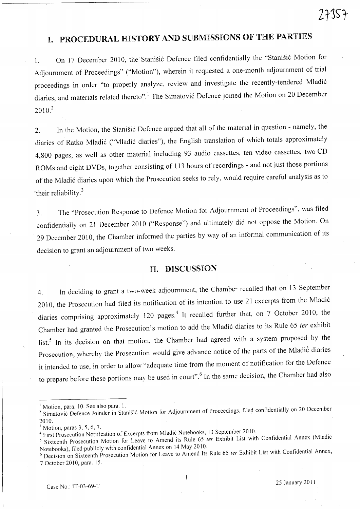# I. PROCEDURAL HISTORY **AND** SUBMISSIONS OF THE PARTIES

1. On 17 December 2010, the Stanišić Defence filed confidentially the "Stanišić Motion for Adjournment of Proceedings" ("Motion"), wherein it requested a one-month adjournment of trial proceedings in order "to properly analyze, review and investigate the recently-tendered Mladi6 diaries, and materials related thereto".<sup>1</sup> The Simatović Defence joined the Motion on 20 December  $2010.<sup>2</sup>$ 

2. In the Motion, the Stanisic Defence argued that all of the material in question - namely, the diaries of Ratko Mladić ("Mladić diaries"), the English translation of which totals approximately 4,800 pages, as well as other material including 93 audio cassettes, ten video cassettes, two CD ROMs and eight DVDs, together consisting of 113 hours of recordings - and not just those portions of the Mladić diaries upon which the Prosecution seeks to rely, would require careful analysis as to 'their reliability. <sup>3</sup>

3. The "Prosecution Response to Defence Motion for Adjournment of Proceedings", was tiled confidentially on 21 December 2010 ("Response") and ultimately did not oppose the Motion. On 29 December 2010, the Chamber informed the parties by way of an informal communication of its decision to grant an adjournment of two weeks.

## **n.** DISCUSSION

4. In deciding to grant a two-week adjournment, the Chamber recalled that on 13 September 2010, the Prosecution had filed its notification of its intention to use 21 excerpts from the Mladi6 diaries comprising approximately 120 pages.<sup>4</sup> It recalled further that, on 7 October 2010, the Chamber had granted the Prosecution's motion to add the Mladić diaries to its Rule 65 ter exhibit list.<sup>5</sup> In its decision on that motion, the Chamber had agreed with a system proposed by the Prosecution, whereby the Prosecution would give advance notice of the parts of the Mladic diaries it intended to use, in order to allow "adequate time from the moment of notification for the Defence to prepare before these portions may be used in court".<sup>6</sup> In the same decision, the Chamber had also

Motion, para. 10. See also para. 1.

<sup>&</sup>lt;sup>2</sup> Simatovic Defence Joinder in Stanišic Motion for Adjournment of Proceedings, filed confidentially on 20 December 2010.

 $3$  Motion, paras 3, 5, 6, 7.

<sup>&</sup>lt;sup>4</sup> First Prosecution Notification of Excerpts from Mladic Notebooks, 13 September 2010.

<sup>&</sup>lt;sup>5</sup> Sixteenth Prosecution Motion for Leave to Amend its Rule 65 *ter* Exhibit List with Confidential Annex (Mladić Notebooks), filed publicly with confidential Annex on <sup>14</sup>May 2010.

 $6$  Decision on Sixteenth Prosecution Motion for Leave to Amend Its Rule 65 *ter* Exhibit List with Confidential Annex, 7 October 2010, para. 15.